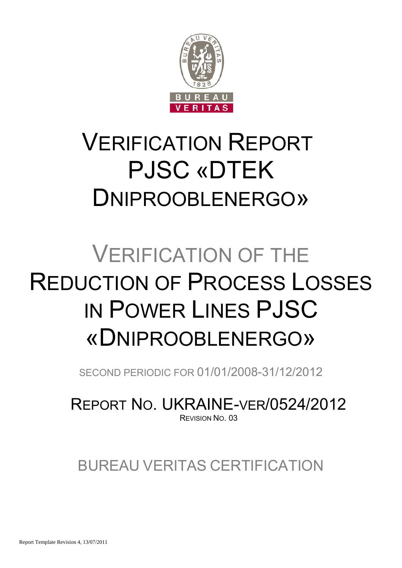

## VERIFICATION REPORT PJSC «DTEK DNIPROOBLENERGO»

# VERIFICATION OF THE REDUCTION OF PROCESS LOSSES IN POWER LINES PJSC «DNIPROOBLENERGO»

SECOND PERIODIC FOR 01/01/2008-31/12/2012

REPORT NO. UKRAINE-VER/0524/2012 REVISION NO. 03

### BUREAU VERITAS CERTIFICATION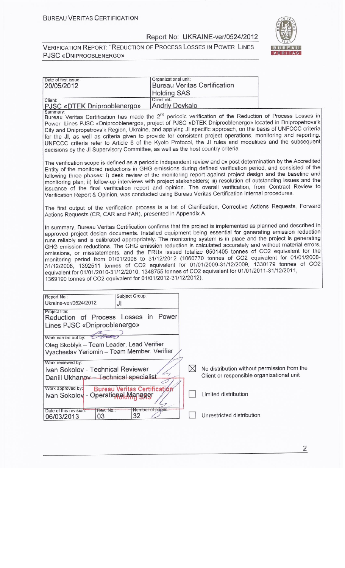

| Date of first issue:<br>20/05/2012                                                                                                                                                                                                                                                                                                                                                                                                                                                                                                                                                                                                                                                                                                                                                                                                                                                                                                        | Organizational unit:                                                                                                                                                                                                                                                                                                                                                                                                                                                                                                                                                                                                                                                                    | <b>Bureau Veritas Certification</b>                                                                   |  |  |  |  |  |  |
|-------------------------------------------------------------------------------------------------------------------------------------------------------------------------------------------------------------------------------------------------------------------------------------------------------------------------------------------------------------------------------------------------------------------------------------------------------------------------------------------------------------------------------------------------------------------------------------------------------------------------------------------------------------------------------------------------------------------------------------------------------------------------------------------------------------------------------------------------------------------------------------------------------------------------------------------|-----------------------------------------------------------------------------------------------------------------------------------------------------------------------------------------------------------------------------------------------------------------------------------------------------------------------------------------------------------------------------------------------------------------------------------------------------------------------------------------------------------------------------------------------------------------------------------------------------------------------------------------------------------------------------------------|-------------------------------------------------------------------------------------------------------|--|--|--|--|--|--|
|                                                                                                                                                                                                                                                                                                                                                                                                                                                                                                                                                                                                                                                                                                                                                                                                                                                                                                                                           | <b>Holding SAS</b>                                                                                                                                                                                                                                                                                                                                                                                                                                                                                                                                                                                                                                                                      |                                                                                                       |  |  |  |  |  |  |
| Client:<br>PJSC «DTEK Dniprooblenergo»                                                                                                                                                                                                                                                                                                                                                                                                                                                                                                                                                                                                                                                                                                                                                                                                                                                                                                    | Client ref.:<br><b>Andriy Deykalo</b>                                                                                                                                                                                                                                                                                                                                                                                                                                                                                                                                                                                                                                                   |                                                                                                       |  |  |  |  |  |  |
| Summary:<br>Bureau Veritas Certification has made the 2 <sup>nd</sup> periodic verification of the Reduction of Process Losses in<br>Power Lines PJSC «Dniprooblenergo», project of PJSC «DTEK Dniprooblenergo» located in Dnipropetrovs'k<br>City and Dnipropetrovs'k Region, Ukraine, and applying JI specific approach, on the basis of UNFCCC criteria<br>for the JI, as well as criteria given to provide for consistent project operations, monitoring and reporting.<br>UNFCCC criteria refer to Article 6 of the Kyoto Protocol, the JI rules and modalities and the subsequent<br>decisions by the JI Supervisory Committee, as well as the host country criteria.                                                                                                                                                                                                                                                               |                                                                                                                                                                                                                                                                                                                                                                                                                                                                                                                                                                                                                                                                                         |                                                                                                       |  |  |  |  |  |  |
|                                                                                                                                                                                                                                                                                                                                                                                                                                                                                                                                                                                                                                                                                                                                                                                                                                                                                                                                           | The verification scope is defined as a periodic independent review and ex post determination by the Accredited<br>Entity of the monitored reductions in GHG emissions during defined verification period, and consisted of the<br>following three phases: i) desk review of the monitoring report against project design and the baseline and<br>monitoring plan; ii) follow-up interviews with project stakeholders; iii) resolution of outstanding issues and the<br>issuance of the final verification report and opinion. The overall verification, from Contract Review to<br>Verification Report & Opinion, was conducted using Bureau Veritas Certification internal procedures. |                                                                                                       |  |  |  |  |  |  |
| The first output of the verification process is a list of Clarification, Corrective Actions Requests, Forward<br>Actions Requests (CR, CAR and FAR), presented in Appendix A.                                                                                                                                                                                                                                                                                                                                                                                                                                                                                                                                                                                                                                                                                                                                                             |                                                                                                                                                                                                                                                                                                                                                                                                                                                                                                                                                                                                                                                                                         |                                                                                                       |  |  |  |  |  |  |
| In summary, Bureau Veritas Certification confirms that the project is implemented as planned and described in<br>approved project design documents. Installed equipment being essential for generating emission reduction<br>runs reliably and is calibrated appropriately. The monitoring system is in place and the project is generating<br>GHG emission reductions. The GHG emission reduction is calculated accurately and without material errors,<br>omissions, or misstatements, and the ERUs issued totalize 6501405 tonnes of CO2 equivalent for the<br>monitoring period from 01/01/2008 to 31/12/2012 (1060770 tonnes of CO2 equivalent for 01/01/2008-<br>31/12/2008, 1392511 tonnes of CO2 equivalent for 01/01/2009-31/12/2009, 1330179 tonnes of CO2<br>equivalent for 01/01/2010-31/12/2010, 1348755 tonnes of CO2 equivalent for 01/01/2011-31/12/2011,<br>1369190 tonnes of CO2 equivalent for 01/01/2012-31/12/2012). |                                                                                                                                                                                                                                                                                                                                                                                                                                                                                                                                                                                                                                                                                         |                                                                                                       |  |  |  |  |  |  |
| Subject Group:<br>Report No.:<br>Ukraine-ver/0524/2012<br>JI                                                                                                                                                                                                                                                                                                                                                                                                                                                                                                                                                                                                                                                                                                                                                                                                                                                                              |                                                                                                                                                                                                                                                                                                                                                                                                                                                                                                                                                                                                                                                                                         |                                                                                                       |  |  |  |  |  |  |
| Project title:<br>Reduction of Process Losses in Power<br>Lines PJSC «Dniprooblenergo»<br>Work carried out by:<br>Cuo<br>Oleg Skoblyk - Team Leader, Lead Verifier<br>Vyacheslav Yeriomin - Team Member, Verifier                                                                                                                                                                                                                                                                                                                                                                                                                                                                                                                                                                                                                                                                                                                         |                                                                                                                                                                                                                                                                                                                                                                                                                                                                                                                                                                                                                                                                                         |                                                                                                       |  |  |  |  |  |  |
| Work reviewed by:<br>Ivan Sokolov - Technical Reviewer<br>Daniil Ukhanov - Technical specialist                                                                                                                                                                                                                                                                                                                                                                                                                                                                                                                                                                                                                                                                                                                                                                                                                                           |                                                                                                                                                                                                                                                                                                                                                                                                                                                                                                                                                                                                                                                                                         | $\bowtie$<br>No distribution without permission from the<br>Client or responsible organizational unit |  |  |  |  |  |  |
| Work approved by:<br><b>Bureau Veritas Certification</b><br>Ivan Sokolov - Operational Manager                                                                                                                                                                                                                                                                                                                                                                                                                                                                                                                                                                                                                                                                                                                                                                                                                                            |                                                                                                                                                                                                                                                                                                                                                                                                                                                                                                                                                                                                                                                                                         | Limited distribution                                                                                  |  |  |  |  |  |  |
| Rev. No.:<br>Date of this revision:<br>32<br>03<br>06/03/2013                                                                                                                                                                                                                                                                                                                                                                                                                                                                                                                                                                                                                                                                                                                                                                                                                                                                             | Number of pages:                                                                                                                                                                                                                                                                                                                                                                                                                                                                                                                                                                                                                                                                        | Unrestricted distribution                                                                             |  |  |  |  |  |  |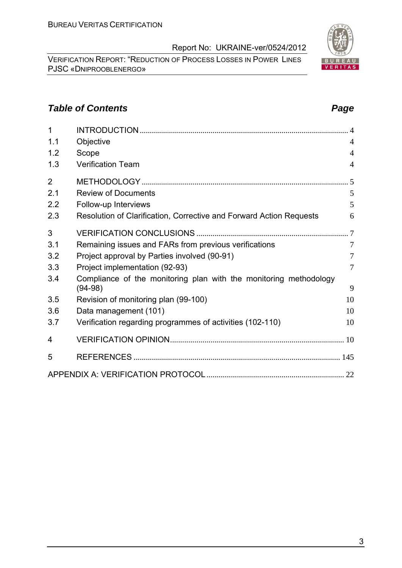VERIFICATION REPORT: "REDUCTION OF PROCESS LOSSES IN POWER LINES PJSC «DNIPROOBLENERGO»

#### **Table of Contents** *Page Page Page Page Page Page*

| 1              |                                                                     |                |
|----------------|---------------------------------------------------------------------|----------------|
| 1.1            | Objective                                                           | $\overline{4}$ |
| 1.2            | Scope                                                               | $\overline{4}$ |
| 1.3            | <b>Verification Team</b>                                            | $\overline{4}$ |
| $\overline{2}$ |                                                                     |                |
| 2.1            | <b>Review of Documents</b>                                          | 5              |
| 2.2            | Follow-up Interviews                                                | 5              |
| 2.3            | Resolution of Clarification, Corrective and Forward Action Requests | 6              |
| 3              |                                                                     |                |
| 3.1            | Remaining issues and FARs from previous verifications               | $\overline{7}$ |
| 3.2            | Project approval by Parties involved (90-91)                        | $\overline{7}$ |
| 3.3            | Project implementation (92-93)                                      | $\overline{7}$ |
| 3.4            | Compliance of the monitoring plan with the monitoring methodology   |                |
|                | $(94-98)$                                                           | 9              |
| 3.5            | Revision of monitoring plan (99-100)                                | 10             |
| 3.6            | Data management (101)                                               | 10             |
| 3.7            | Verification regarding programmes of activities (102-110)           | 10             |
| 4              |                                                                     |                |
| 5              |                                                                     |                |
|                |                                                                     |                |

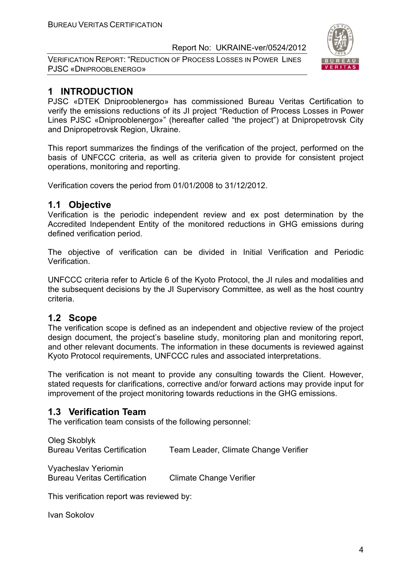VERIFICATION REPORT: "REDUCTION OF PROCESS LOSSES IN POWER LINES PJSC «DNIPROOBLENERGO»



#### **1 INTRODUCTION**

PJSC «DTEK Dniprooblenergo» has commissioned Bureau Veritas Certification to verify the emissions reductions of its JI project "Reduction of Process Losses in Power Lines PJSC «Dniprooblenergo»" (hereafter called "the project") at Dnipropetrovsk City and Dnipropetrovsk Region, Ukraine.

This report summarizes the findings of the verification of the project, performed on the basis of UNFCCC criteria, as well as criteria given to provide for consistent project operations, monitoring and reporting.

Verification covers the period from 01/01/2008 to 31/12/2012.

#### **1.1 Objective**

Verification is the periodic independent review and ex post determination by the Accredited Independent Entity of the monitored reductions in GHG emissions during defined verification period.

The objective of verification can be divided in Initial Verification and Periodic Verification.

UNFCCC criteria refer to Article 6 of the Kyoto Protocol, the JI rules and modalities and the subsequent decisions by the JI Supervisory Committee, as well as the host country criteria.

#### **1.2 Scope**

The verification scope is defined as an independent and objective review of the project design document, the project's baseline study, monitoring plan and monitoring report, and other relevant documents. The information in these documents is reviewed against Kyoto Protocol requirements, UNFCCC rules and associated interpretations.

The verification is not meant to provide any consulting towards the Client. However, stated requests for clarifications, corrective and/or forward actions may provide input for improvement of the project monitoring towards reductions in the GHG emissions.

#### **1.3 Verification Team**

The verification team consists of the following personnel:

Oleg Skoblyk Bureau Veritas Certification Team Leader, Climate Change Verifier Vyacheslav Yeriomin Bureau Veritas Certification Climate Change Verifier

This verification report was reviewed by:

Ivan Sokolov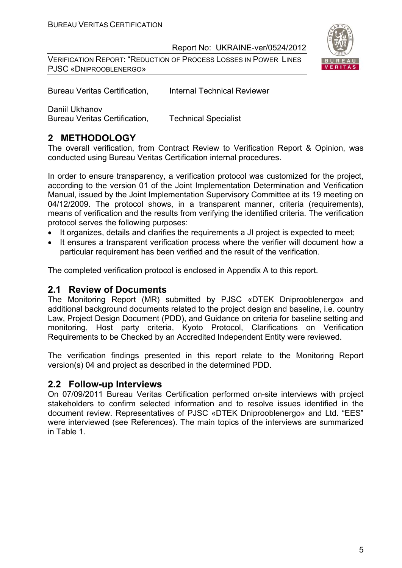VERIFICATION REPORT: "REDUCTION OF PROCESS LOSSES IN POWER LINES PJSC «DNIPROOBLENERGO»



Bureau Veritas Certification, Internal Technical Reviewer

Daniil Ukhanov

Bureau Veritas Certification, Technical Specialist

#### **2 METHODOLOGY**

The overall verification, from Contract Review to Verification Report & Opinion, was conducted using Bureau Veritas Certification internal procedures.

In order to ensure transparency, a verification protocol was customized for the project, according to the version 01 of the Joint Implementation Determination and Verification Manual, issued by the Joint Implementation Supervisory Committee at its 19 meeting on 04/12/2009. The protocol shows, in a transparent manner, criteria (requirements), means of verification and the results from verifying the identified criteria. The verification protocol serves the following purposes:

- It organizes, details and clarifies the requirements a JI project is expected to meet:
- It ensures a transparent verification process where the verifier will document how a particular requirement has been verified and the result of the verification.

The completed verification protocol is enclosed in Appendix A to this report.

#### **2.1 Review of Documents**

The Monitoring Report (MR) submitted by PJSC «DTEK Dniprooblenergo» and additional background documents related to the project design and baseline, i.e. country Law, Project Design Document (PDD), and Guidance on criteria for baseline setting and monitoring, Host party criteria, Kyoto Protocol, Clarifications on Verification Requirements to be Checked by an Accredited Independent Entity were reviewed.

The verification findings presented in this report relate to the Monitoring Report version(s) 04 and project as described in the determined PDD.

#### **2.2 Follow-up Interviews**

On 07/09/2011 Bureau Veritas Certification performed on-site interviews with project stakeholders to confirm selected information and to resolve issues identified in the document review. Representatives of PJSC «DTEK Dniprooblenergo» and Ltd. "EES" were interviewed (see References). The main topics of the interviews are summarized in Table 1.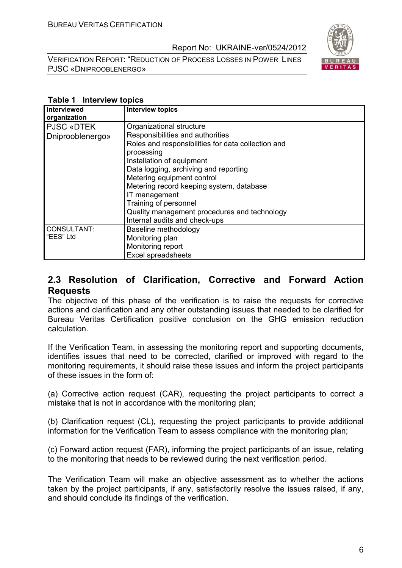VERIFICATION REPORT: "REDUCTION OF PROCESS LOSSES IN POWER LINES PJSC «DNIPROOBLENERGO»



#### **Table 1 Interview topics**

| <b>Interviewed</b><br>organization | <b>Interview topics</b>                            |
|------------------------------------|----------------------------------------------------|
| <b>PJSC «DTEK</b>                  | Organizational structure                           |
| Dniprooblenergo»                   | Responsibilities and authorities                   |
|                                    | Roles and responsibilities for data collection and |
|                                    | processing                                         |
|                                    | Installation of equipment                          |
|                                    | Data logging, archiving and reporting              |
|                                    | Metering equipment control                         |
|                                    | Metering record keeping system, database           |
|                                    | IT management                                      |
|                                    | Training of personnel                              |
|                                    | Quality management procedures and technology       |
|                                    | Internal audits and check-ups                      |
| CONSULTANT:                        | Baseline methodology                               |
| "EES" Ltd                          | Monitoring plan                                    |
|                                    | Monitoring report                                  |
|                                    | <b>Excel spreadsheets</b>                          |

#### **2.3 Resolution of Clarification, Corrective and Forward Action Requests**

The objective of this phase of the verification is to raise the requests for corrective actions and clarification and any other outstanding issues that needed to be clarified for Bureau Veritas Certification positive conclusion on the GHG emission reduction calculation.

If the Verification Team, in assessing the monitoring report and supporting documents, identifies issues that need to be corrected, clarified or improved with regard to the monitoring requirements, it should raise these issues and inform the project participants of these issues in the form of:

(a) Corrective action request (CAR), requesting the project participants to correct a mistake that is not in accordance with the monitoring plan;

(b) Clarification request (CL), requesting the project participants to provide additional information for the Verification Team to assess compliance with the monitoring plan;

(c) Forward action request (FAR), informing the project participants of an issue, relating to the monitoring that needs to be reviewed during the next verification period.

The Verification Team will make an objective assessment as to whether the actions taken by the project participants, if any, satisfactorily resolve the issues raised, if any, and should conclude its findings of the verification.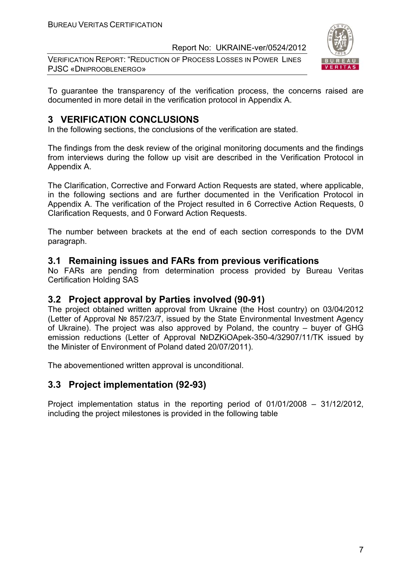VERIFICATION REPORT: "REDUCTION OF PROCESS LOSSES IN POWER LINES PJSC «DNIPROOBLENERGO»



To guarantee the transparency of the verification process, the concerns raised are documented in more detail in the verification protocol in Appendix A.

#### **3 VERIFICATION CONCLUSIONS**

In the following sections, the conclusions of the verification are stated.

The findings from the desk review of the original monitoring documents and the findings from interviews during the follow up visit are described in the Verification Protocol in Appendix A.

The Clarification, Corrective and Forward Action Requests are stated, where applicable, in the following sections and are further documented in the Verification Protocol in Appendix A. The verification of the Project resulted in 6 Corrective Action Requests, 0 Clarification Requests, and 0 Forward Action Requests.

The number between brackets at the end of each section corresponds to the DVM paragraph.

#### **3.1 Remaining issues and FARs from previous verifications**

No FARs are pending from determination process provided by Bureau Veritas Certification Holding SAS

#### **3.2 Project approval by Parties involved (90-91)**

The project obtained written approval from Ukraine (the Host country) on 03/04/2012 (Letter of Approval № 857/23/7, issued by the State Environmental Investment Agency of Ukraine). The project was also approved by Poland, the country – buyer of GHG emission reductions (Letter of Approval №DZKiOApek-350-4/32907/11/TK issued by the Minister of Environment of Poland dated 20/07/2011).

The abovementioned written approval is unconditional.

#### **3.3 Project implementation (92-93)**

Project implementation status in the reporting period of 01/01/2008 – 31/12/2012, including the project milestones is provided in the following table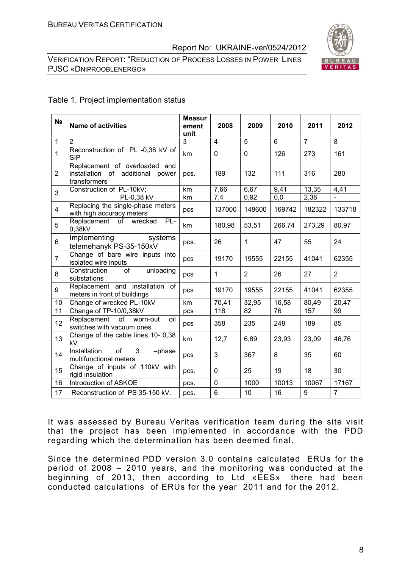VERIFICATION REPORT: "REDUCTION OF PROCESS LOSSES IN POWER LINES PJSC «DNIPROOBLENERGO»



#### Table 1. Project implementation status

| N <sub>2</sub> | <b>Name of activities</b>                                                            | <b>Measur</b><br>ement<br>unit | 2008           | 2009           | 2010   | 2011           | 2012           |
|----------------|--------------------------------------------------------------------------------------|--------------------------------|----------------|----------------|--------|----------------|----------------|
| $\mathbf{1}$   | $\overline{2}$                                                                       | 3                              | $\overline{4}$ | $\overline{5}$ | 6      | $\overline{7}$ | 8              |
| 1              | Reconstruction of PL -0,38 kV of<br><b>SIP</b>                                       | km                             | $\mathbf 0$    | $\mathbf 0$    | 126    | 273            | 161            |
| $\overline{2}$ | Replacement of overloaded and<br>installation of additional<br>power<br>transformers | pcs.                           | 189            | 132            | 111    | 316            | 280            |
| 3              | Construction of PL-10kV;                                                             | km                             | 7,66           | 6,67           | 9,41   | 13,35          | 4,41           |
|                | PL-0,38 kV                                                                           | km                             | 7,4            | 0,92           | 0,0    | 2,38           |                |
| 4              | Replacing the single-phase meters<br>with high accuracy meters                       | pcs                            | 137000         | 148600         | 169742 | 182322         | 133718         |
| 5              | Replacement of<br>PL-<br>wrecked<br>0,38kV                                           | km                             | 180,98         | 53,51          | 266,74 | 273,29         | 80,97          |
| 6              | Implementing<br>systems<br>telemehanyk PS-35-150kV                                   | pcs.                           | 26             | $\mathbf{1}$   | 47     | 55             | 24             |
| $\overline{7}$ | Change of bare wire inputs into<br>isolated wire inputs                              | pcs                            | 19170          | 19555          | 22155  | 41041          | 62355          |
| 8              | unloading<br>Construction<br>of<br>substations                                       | pcs                            | $\mathbf{1}$   | $\overline{2}$ | 26     | 27             | 2              |
| 9              | Replacement and installation of<br>meters in front of buildings                      | pcs                            | 19170          | 19555          | 22155  | 41041          | 62355          |
| 10             | Change of wrecked PL-10kV                                                            | km                             | 70,41          | 32,95          | 16,58  | 80,49          | 20,47          |
| 11             | Change of TP-10/0,38kV                                                               | pcs                            | 118            | 82             | 76     | 157            | 99             |
| 12             | of<br>Replacement<br>worn-out<br>oil<br>switches with vacuum ones                    | pcs                            | 358            | 235            | 248    | 189            | 85             |
| 13             | Change of the cable lines 10- 0,38<br>kV                                             | km                             | 12,7           | 6,89           | 23,93  | 23,09          | 46,76          |
| 14             | Installation<br>3<br><b>of</b><br>-phase<br>multifunctional meters                   | pcs                            | 3              | 367            | 8      | 35             | 60             |
| 15             | Change of inputs of 110kV with<br>rigid insulation                                   | pcs.                           | 0              | 25             | 19     | 18             | 30             |
| 16             | Introduction of ASKOE                                                                | pcs.                           | $\mathbf 0$    | 1000           | 10013  | 10067          | 17167          |
| 17             | Reconstruction of PS 35-150 kV.                                                      | pcs.                           | 6              | 10             | 16     | 9              | $\overline{7}$ |

It was assessed by Bureau Veritas verification team during the site visit that the project has been implemented in accordance with the PDD regarding which the determination has been deemed final.

Since the determined PDD version 3.0 contains calculated ERUs for the period of 2008 – 2010 years, and the monitoring was conducted at the beginning of 2013, then according to Ltd «ЕЕS» there had been conducted calculations of ERUs for the year 2011 and for the 2012.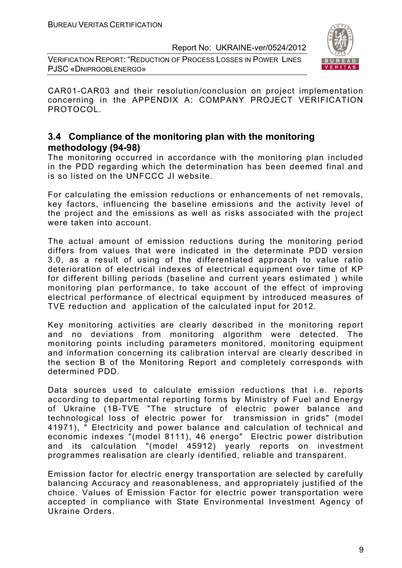VERIFICATION REPORT: "REDUCTION OF PROCESS LOSSES IN POWER LINES PJSC «DNIPROOBLENERGO»



CAR01-CAR03 and their resolution/conclusion on project implementation concerning in the APPENDIX A: COMPANY PROJECT VERIFICATION PROTOCOL.

#### **3.4 Compliance of the monitoring plan with the monitoring methodology (94-98)**

The monitoring occurred in accordance with the monitoring plan included in the PDD regarding which the determination has been deemed final and is so listed on the UNFCCC JI website.

For calculating the emission reductions or enhancements of net removals, key factors, influencing the baseline emissions and the activity level of the project and the emissions as well as risks associated with the project were taken into account.

The actual amount of emission reductions during the monitoring period differs from values that were indicated in the determinate PDD version 3.0, as a result of using of the differentiated approach to value ratio deterioration of electrical indexes of electrical equipment over time of KP for different billing periods (baseline and current years estimated ) while monitoring plan performance, to take account of the effect of improving electrical performance of electrical equipment by introduced measures of TVE reduction and application of the calculated input for 2012.

Key monitoring activities are clearly described in the monitoring report and no deviations from monitoring algorithm were detected. The monitoring points including parameters monitored, monitoring equipment and information concerning its calibration interval are clearly described in the section B of the Monitoring Report and completely corresponds with determined PDD.

Data sources used to calculate emission reductions that i.e. reports according to departmental reporting forms by Ministry of Fuel and Energy of Ukraine (1B-TVE "The structure of electric power balance and technological loss of electric power for transmission in grids" (model 41971), " Electricity and power balance and calculation of technical and economic indexes "(model 8111), 46 energo" Electric power distribution and its calculation "(model 45912) yearly reports on investment programmes realisation are clearly identified, reliable and transparent.

Emission factor for electric energy transportation are selected by carefully balancing Accuracy and reasonableness, and appropriately justified of the choice. Values of Emission Factor for electric power transportation were accepted in compliance with State Environmental Investment Agency of Ukraine Orders.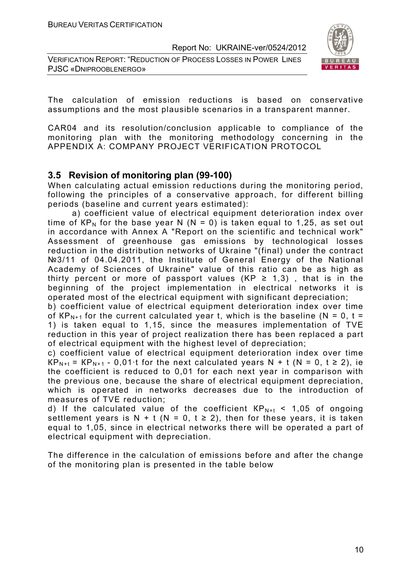VERIFICATION REPORT: "REDUCTION OF PROCESS LOSSES IN POWER LINES PJSC «DNIPROOBLENERGO»



The calculation of emission reductions is based on conservative assumptions and the most plausible scenarios in a transparent manner.

CAR04 and its resolution/conclusion applicable to compliance of the monitoring plan with the monitoring methodology concerning in the APPENDIX A: COMPANY PROJECT VERIFICATION PROTOCOL

#### **3.5 Revision of monitoring plan (99-100)**

When calculating actual emission reductions during the monitoring period, following the principles of a conservative approach, for different billing periods (baseline and current years estimated):

a) coefficient value of electrical equipment deterioration index over time of  $KP_N$  for the base year N (N = 0) is taken equal to 1,25, as set out in accordance with Annex A "Report on the scientific and technical work" Assessment of greenhouse gas emissions by technological losses reduction in the distribution networks of Ukraine "(final) under the contract №3/11 of 04.04.2011, the Institute of General Energy of the National Academy of Sciences of Ukraine" value of this ratio can be as high as thirty percent or more of passport values (KP  $\geq$  1,3), that is in the beginning of the project implementation in electrical networks it is operated most of the electrical equipment with significant depreciation;

b) coefficient value of electrical equipment deterioration index over time of  $KP_{N+1}$  for the current calculated year t, which is the baseline (N = 0, t = 1) is taken equal to 1,15, since the measures implementation of TVE reduction in this year of project realization there has been replaced a part of electrical equipment with the highest level of depreciation;

c) coefficient value of electrical equipment deterioration index over time  $KP_{N+1}$  = KP<sub>N+1</sub> - 0,01 t for the next calculated years N + t (N = 0, t  $\geq$  2), ie the coefficient is reduced to 0,01 for each next year in comparison with the previous one, because the share of electrical equipment depreciation, which is operated in networks decreases due to the introduction of measures of TVE reduction;

d) If the calculated value of the coefficient  $KP_{N+t}$  < 1,05 of ongoing settlement years is N + t (N = 0, t  $\ge$  2), then for these years, it is taken equal to 1,05, since in electrical networks there will be operated a part of electrical equipment with depreciation.

The difference in the calculation of emissions before and after the change of the monitoring plan is presented in the table below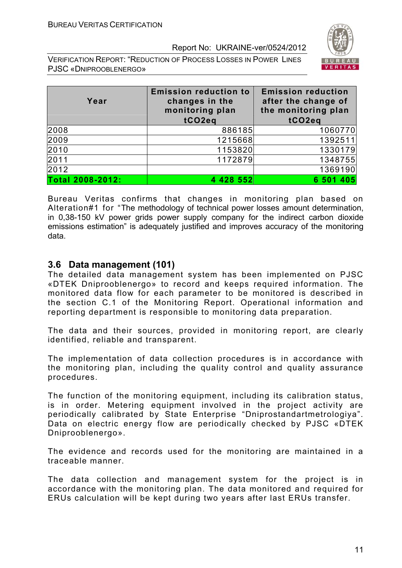VERIFICATION REPORT: "REDUCTION OF PROCESS LOSSES IN POWER LINES PJSC «DNIPROOBLENERGO»



| Year             | <b>Emission reduction to</b><br>changes in the<br>monitoring plan | <b>Emission reduction</b><br>after the change of<br>the monitoring plan |
|------------------|-------------------------------------------------------------------|-------------------------------------------------------------------------|
|                  | tCO2eg                                                            | tCO <sub>2eq</sub>                                                      |
| 2008             | 886185                                                            | 1060770                                                                 |
| 2009             | 1215668                                                           | 1392511                                                                 |
| 2010             | 1153820                                                           | 1330179                                                                 |
| 2011             | 1172879                                                           | 1348755                                                                 |
| 2012             |                                                                   | 1369190                                                                 |
| Total 2008-2012: | 4 4 28 5 5 2                                                      | 6 501 405                                                               |

Bureau Veritas confirms that changes in monitoring plan based on Alteration#1 for "The methodology of technical power losses amount determination, in 0,38-150 kV power grids power supply company for the indirect carbon dioxide emissions estimation" is adequately justified and improves accuracy of the monitoring data.

#### **3.6 Data management (101)**

The detailed data management system has been implemented on PJSC «DTEK Dniprooblenergo» to record and keeps required information. The monitored data flow for each parameter to be monitored is described in the section C.1 of the Monitoring Report. Operational information and reporting department is responsible to monitoring data preparation.

The data and their sources, provided in monitoring report, are clearly identified, reliable and transparent.

The implementation of data collection procedures is in accordance with the monitoring plan, including the quality control and quality assurance procedures.

The function of the monitoring equipment, including its calibration status, is in order. Metering equipment involved in the project activity are periodically calibrated by State Enterprise "Dniprostandartmetrologiya". Data on electric energy flow are periodically checked by PJSC «DTEK Dniprooblenergo».

The evidence and records used for the monitoring are maintained in a traceable manner.

The data collection and management system for the project is in accordance with the monitoring plan. The data monitored and required for ERUs calculation will be kept during two years after last ERUs transfer.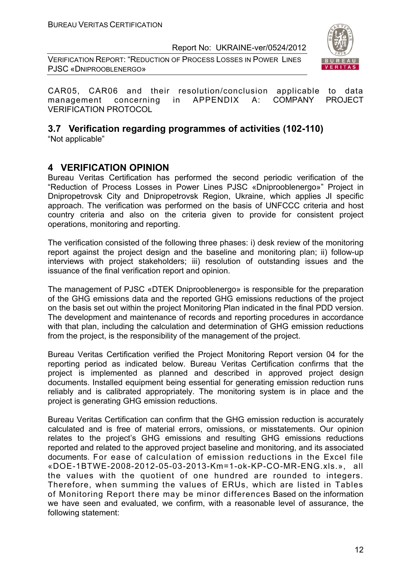VERIFICATION REPORT: "REDUCTION OF PROCESS LOSSES IN POWER LINES PJSC «DNIPROOBLENERGO»



CAR05, CAR06 and their resolution/conclusion applicable to data management concerning in APPENDIX A: COMPANY PROJECT VERIFICATION PROTOCOL

### **3.7 Verification regarding programmes of activities (102-110)**

"Not applicable"

#### **4 VERIFICATION OPINION**

Bureau Veritas Certification has performed the second periodic verification of the "Reduction of Process Losses in Power Lines PJSC «Dniprooblenergo»" Project in Dnipropetrovsk City and Dnipropetrovsk Region, Ukraine, which applies JI specific approach. The verification was performed on the basis of UNFCCC criteria and host country criteria and also on the criteria given to provide for consistent project operations, monitoring and reporting.

The verification consisted of the following three phases: i) desk review of the monitoring report against the project design and the baseline and monitoring plan; ii) follow-up interviews with project stakeholders; iii) resolution of outstanding issues and the issuance of the final verification report and opinion.

The management of PJSC «DTEK Dniprooblenergo» is responsible for the preparation of the GHG emissions data and the reported GHG emissions reductions of the project on the basis set out within the project Monitoring Plan indicated in the final PDD version. The development and maintenance of records and reporting procedures in accordance with that plan, including the calculation and determination of GHG emission reductions from the project, is the responsibility of the management of the project.

Bureau Veritas Certification verified the Project Monitoring Report version 04 for the reporting period as indicated below. Bureau Veritas Certification confirms that the project is implemented as planned and described in approved project design documents. Installed equipment being essential for generating emission reduction runs reliably and is calibrated appropriately. The monitoring system is in place and the project is generating GHG emission reductions.

Bureau Veritas Certification can confirm that the GHG emission reduction is accurately calculated and is free of material errors, omissions, or misstatements. Our opinion relates to the project's GHG emissions and resulting GHG emissions reductions reported and related to the approved project baseline and monitoring, and its associated documents. For ease of calculation of emission reductions in the Excel file «DOЕ-1BТWЕ-2008-2012-05-03-2013-Km=1-ok-KP-CO-MR-ENG.xls.», all the values with the quotient of one hundred are rounded to integers. Therefore, when summing the values of ERUs, which are listed in Tables of Monitoring Report there may be minor differences Based on the information we have seen and evaluated, we confirm, with a reasonable level of assurance, the following statement: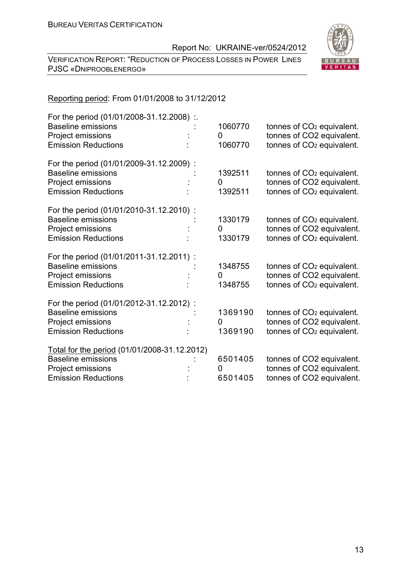VERIFICATION REPORT: "REDUCTION OF PROCESS LOSSES IN POWER LINES PJSC «DNIPROOBLENERGO»



#### Reporting period: From 01/01/2008 to 31/12/2012

| For the period (01/01/2008-31.12.2008) :.<br><b>Baseline emissions</b><br>Project emissions<br><b>Emission Reductions</b>    | 1060770<br>0<br>1060770 | tonnes of CO <sub>2</sub> equivalent.<br>tonnes of CO2 equivalent.<br>tonnes of CO <sub>2</sub> equivalent. |
|------------------------------------------------------------------------------------------------------------------------------|-------------------------|-------------------------------------------------------------------------------------------------------------|
| For the period (01/01/2009-31.12.2009):<br><b>Baseline emissions</b><br>Project emissions<br><b>Emission Reductions</b>      | 1392511<br>0<br>1392511 | tonnes of CO <sub>2</sub> equivalent.<br>tonnes of CO2 equivalent.<br>tonnes of CO <sub>2</sub> equivalent. |
| For the period (01/01/2010-31.12.2010) :<br><b>Baseline emissions</b><br>Project emissions<br><b>Emission Reductions</b>     | 1330179<br>0<br>1330179 | tonnes of CO <sub>2</sub> equivalent.<br>tonnes of CO2 equivalent.<br>tonnes of CO <sub>2</sub> equivalent. |
| For the period (01/01/2011-31.12.2011) :<br><b>Baseline emissions</b><br>Project emissions<br><b>Emission Reductions</b>     | 1348755<br>0<br>1348755 | tonnes of CO <sub>2</sub> equivalent.<br>tonnes of CO2 equivalent.<br>tonnes of CO <sub>2</sub> equivalent. |
| For the period (01/01/2012-31.12.2012) :<br><b>Baseline emissions</b><br>Project emissions<br><b>Emission Reductions</b>     | 1369190<br>0<br>1369190 | tonnes of CO <sub>2</sub> equivalent.<br>tonnes of CO2 equivalent.<br>tonnes of CO <sub>2</sub> equivalent. |
| Total for the period (01/01/2008-31.12.2012)<br><b>Baseline emissions</b><br>Project emissions<br><b>Emission Reductions</b> | 6501405<br>0<br>6501405 | tonnes of CO2 equivalent.<br>tonnes of CO2 equivalent.<br>tonnes of CO2 equivalent.                         |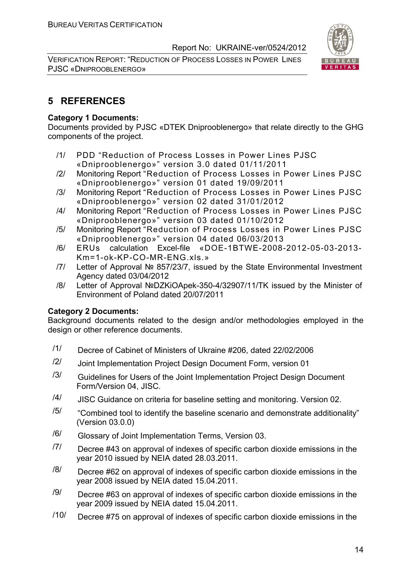VERIFICATION REPORT: "REDUCTION OF PROCESS LOSSES IN POWER LINES PJSC «DNIPROOBLENERGO»



#### **5 REFERENCES**

#### **Category 1 Documents:**

Documents provided by PJSC «DTEK Dniprooblenergo» that relate directly to the GHG components of the project.

- /1/ PDD "Reduction of Process Losses in Power Lines PJSC «Dniprooblenergo»" version 3.0 dated 01/11/2011
- /2/ Monitoring Report "Reduction of Process Losses in Power Lines PJSC «Dniprooblenergo»" version 01 dated 19/09/2011
- /3/ Monitoring Report "Reduction of Process Losses in Power Lines PJSC «Dniprooblenergo»" version 02 dated 31/01/2012
- /4/ Monitoring Report "Reduction of Process Losses in Power Lines PJSC «Dniprooblenergo»" version 03 dated 01/10/2012
- /5/ Monitoring Report "Reduction of Process Losses in Power Lines PJSC «Dniprooblenergo»" version 04 dated 06/03/2013
- /6/ ERUs calculation Excel-file «DOЕ-1BТWЕ-2008-2012-05-03-2013- Km=1-ok-KP-CO-MR-ENG.xls.»
- /7/ Letter of Approval № 857/23/7, issued by the State Environmental Investment Agency dated 03/04/2012
- /8/ Letter of Approval №DZKiOApek-350-4/32907/11/TK issued by the Minister of Environment of Poland dated 20/07/2011

#### **Category 2 Documents:**

Background documents related to the design and/or methodologies employed in the design or other reference documents.

- /1/ Decree of Cabinet of Ministers of Ukraine #206, dated 22/02/2006
- $/2$  Joint Implementation Project Design Document Form, version 01
- $/3/$  Guidelines for Users of the Joint Implementation Project Design Document Form/Version 04, JISC.
- /4/ JISC Guidance on criteria for baseline setting and monitoring. Version 02.
- $/5/$  "Combined tool to identify the baseline scenario and demonstrate additionality" (Version 03.0.0)
- /6/ Glossary of Joint Implementation Terms, Version 03.
- $/7$  Decree #43 on approval of indexes of specific carbon dioxide emissions in the year 2010 issued by NEIA dated 28.03.2011.
- $\frac{18}{10}$  Decree #62 on approval of indexes of specific carbon dioxide emissions in the year 2008 issued by NEIA dated 15.04.2011.
- $/9$  Decree #63 on approval of indexes of specific carbon dioxide emissions in the year 2009 issued by NEIA dated 15.04.2011.
- $/10$  Decree #75 on approval of indexes of specific carbon dioxide emissions in the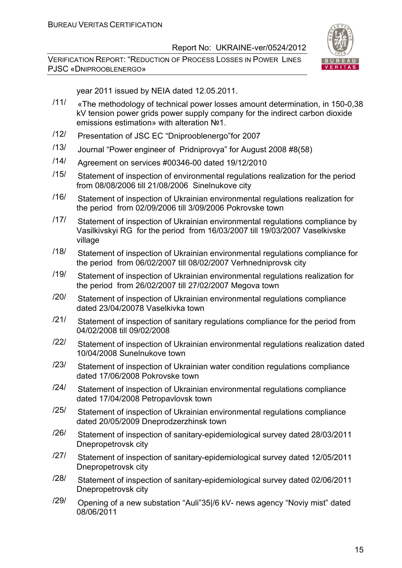VERIFICATION REPORT: "REDUCTION OF PROCESS LOSSES IN POWER LINES PJSC «DNIPROOBLENERGO»



year 2011 issued by NEIA dated 12.05.2011.

- /11/ «The methodology of technical power losses amount determination, in 150-0,38 kV tension power grids power supply company for the indirect carbon dioxide emissions estimation» with alteration №1.
- /12/ Presentation of JSC EC "Dniprooblenergo"for 2007
- /13/ Journal "Power engineer of Pridniprovya" for August 2008 #8(58)
- /14/ Agreement on services #00346-00 dated 19/12/2010
- /15/ Statement of inspection of environmental regulations realization for the period from 08/08/2006 till 21/08/2006 Sinelnukove city
- /16/ Statement of inspection of Ukrainian environmental regulations realization for the period from 02/09/2006 till 3/09/2006 Pokrovske town
- /17/ Statement of inspection of Ukrainian environmental regulations compliance by Vasilkivskyi RG for the period from 16/03/2007 till 19/03/2007 Vaselkivske village
- /18/ Statement of inspection of Ukrainian environmental regulations compliance for the period from 06/02/2007 till 08/02/2007 Verhnedniprovsk city
- /19/ Statement of inspection of Ukrainian environmental regulations realization for the period from 26/02/2007 till 27/02/2007 Megova town
- /20/ Statement of inspection of Ukrainian environmental regulations compliance dated 23/04/20078 Vaselkivka town
- $\frac{121}{ }$  Statement of inspection of sanitary regulations compliance for the period from 04/02/2008 till 09/02/2008
- $\frac{122}{12}$  Statement of inspection of Ukrainian environmental regulations realization dated 10/04/2008 Sunelnukove town
- /23/ Statement of inspection of Ukrainian water condition regulations compliance dated 17/06/2008 Pokrovske town
- $\frac{124}{ }$  Statement of inspection of Ukrainian environmental regulations compliance dated 17/04/2008 Petropavlovsk town
- /25/ Statement of inspection of Ukrainian environmental regulations compliance dated 20/05/2009 Dneprodzerzhinsk town
- /26/ Statement of inspection of sanitary-epidemiological survey dated 28/03/2011 Dnepropetrovsk city
- /27/ Statement of inspection of sanitary-epidemiological survey dated 12/05/2011 Dnepropetrovsk city
- /28/ Statement of inspection of sanitary-epidemiological survey dated 02/06/2011 Dnepropetrovsk city
- /29/ Opening of a new substation "Auli"35|/6 kV- news agency "Noviy mist" dated 08/06/2011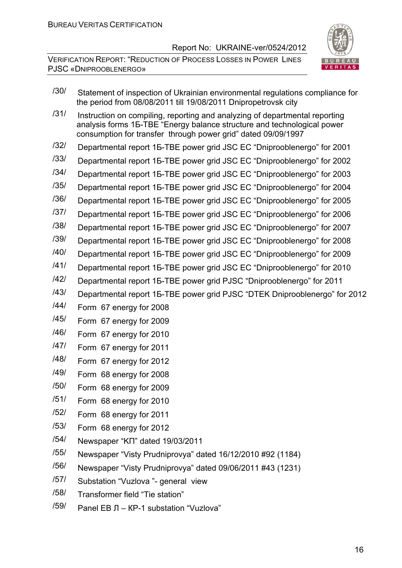

- /30/ Statement of inspection of Ukrainian environmental regulations compliance for the period from 08/08/2011 till 19/08/2011 Dnipropetrovsk city
- $/31/$  Instruction on compiling, reporting and analyzing of departmental reporting analysis forms 1Б-ТВЕ "Energy balance structure and technological power consumption for transfer through power grid" dated 09/09/1997
- /32/ Departmental report 1Б-ТВЕ power grid JSC EC "Dniprooblenergo" for 2001
- /33/ Departmental report 1Б-ТВЕ power grid JSC EC "Dniprooblenergo" for 2002
- /34/ Departmental report 1Б-ТВЕ power grid JSC EC "Dniprooblenergo" for 2003
- /35/ Departmental report 1Б-ТВЕ power grid JSC EC "Dniprooblenergo" for 2004
- /36/ Departmental report 1Б-ТВЕ power grid JSC EC "Dniprooblenergo" for 2005
- /37/ Departmental report 1Б-ТВЕ power grid JSC EC "Dniprooblenergo" for 2006
- /38/ Departmental report 1Б-ТВЕ power grid JSC EC "Dniprooblenergo" for 2007
- /39/ Departmental report 1Б-ТВЕ power grid JSC EC "Dniprooblenergo" for 2008
- /40/ Departmental report 1Б-ТВЕ power grid JSC EC "Dniprooblenergo" for 2009
- /41/ Departmental report 1Б-ТВЕ power grid JSC EC "Dniprooblenergo" for 2010
- /42/ Departmental report 1Б-ТВЕ power grid PJSC "Dniprooblenergo" for 2011
- /43/ Departmental report 1Б-ТВЕ power grid PJSC "DTEK Dniprooblenergo" for 2012
- /44/ Form 67 energy for 2008
- /45/ Form 67 energy for 2009
- /46/ Form 67 energy for 2010
- /47/ Form 67 energy for 2011
- /48/ Form 67 energy for 2012
- /49/ Form 68 energy for 2008
- /50/ Form 68 energy for 2009
- /51/ Form 68 energy for 2010
- /52/ Form 68 energy for 2011
- /53/ Form 68 energy for 2012
- /54/ Newspaper "KП" dated 19/03/2011
- /55/ Newspaper "Visty Prudniprovya" dated 16/12/2010 #92 (1184)
- /56/ Newspaper "Visty Prudniprovya" dated 09/06/2011 #43 (1231)
- /57/ Substation "Vuzlova "- general view
- /58/ Transformer field "Tie station"
- /59/ Panel ЕВ Л КР-1 substation "Vuzlova"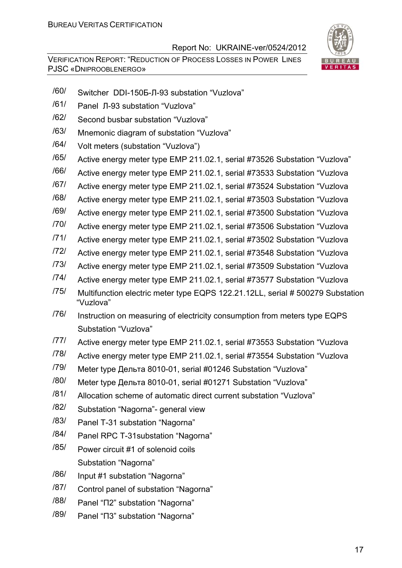

- /60/ Switcher DDI-150Б-Л-93 substation "Vuzlova"
- /61/ Panel Л-93 substation "Vuzlova"
- /62/ Second busbar substation "Vuzlova"
- /63/ Mnemonic diagram of substation "Vuzlova"
- /64/ Volt meters (substation "Vuzlova")
- /65/ Active energy meter type ЕМР 211.02.1, serial #73526 Substation "Vuzlova"
- /66/ Active energy meter type ЕМР 211.02.1, serial #73533 Substation "Vuzlova
- /67/ Active energy meter type ЕМР 211.02.1, serial #73524 Substation "Vuzlova
- /68/ Active energy meter type ЕМР 211.02.1, serial #73503 Substation "Vuzlova
- /69/ Active energy meter type ЕМР 211.02.1, serial #73500 Substation "Vuzlova
- /70/ Active energy meter type ЕМР 211.02.1, serial #73506 Substation "Vuzlova
- /71/ Active energy meter type ЕМР 211.02.1, serial #73502 Substation "Vuzlova
- /72/ Active energy meter type ЕМР 211.02.1, serial #73548 Substation "Vuzlova
- /73/ Active energy meter type ЕМР 211.02.1, serial #73509 Substation "Vuzlova
- /74/ Active energy meter type ЕМР 211.02.1, serial #73577 Substation "Vuzlova
- /75/ Multifunction electric meter type EQPS 122.21.12LL, serial # 500279 Substation "Vuzlova"
- /76/ Instruction on measuring of electricity consumption from meters type EQPS Substation "Vuzlova"
- /77/ Active energy meter type ЕМР 211.02.1, serial #73553 Substation "Vuzlova
- /78/ Active energy meter type ЕМР 211.02.1, serial #73554 Substation "Vuzlova
- /79/ Meter type Дельта 8010-01, serial #01246 Substation "Vuzlova"
- /80/ Meter type Дельта 8010-01, serial #01271 Substation "Vuzlova"
- /81/ Allocation scheme of automatic direct current substation "Vuzlova"
- /82/ Substation "Nagorna"- general view
- /83/ Panel T-31 substation "Nagorna"
- /84/ Panel RPC T-31substation "Nagorna"
- /85/ Power circuit #1 of solenoid coils Substation "Nagorna"
- /86/ Input #1 substation "Nagorna"
- /87/ Control panel of substation "Nagorna"
- /88/ Panel "П2" substation "Nagorna"
- /89/ Panel "П3" substation "Nagorna"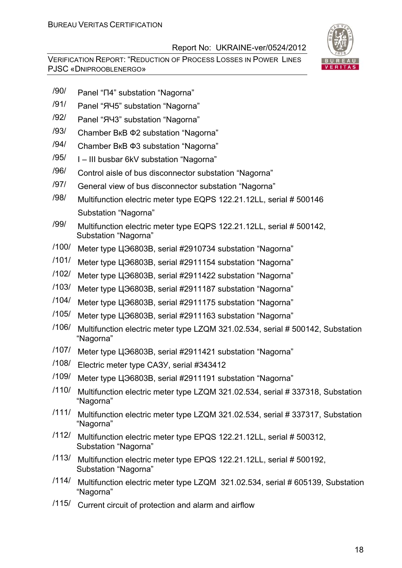

- /90/ Panel "П4" substation "Nagorna"
- /91/ Panel "ЯЧ5" substation "Nagorna"
- /92/ Panel "ЯЧ3" substation "Nagorna"
- /93/ Chamber ВкВ Ф2 substation "Nagorna"
- /94/ Chamber ВкВ Ф3 substation "Nagorna"
- /95/ I III busbar 6kV substation "Nagorna"
- /96/ Control aisle of bus disconnector substation "Nagorna"
- /97/ General view of bus disconnector substation "Nagorna"
- /98/ Multifunction electric meter type EQPS 122.21.12LL, serial # 500146 Substation "Nagorna"
- /99/ Multifunction electric meter type EQPS 122.21.12LL, serial # 500142, Substation "Nagorna"
- /100/ Meter type ЦЭ6803В, serial #2910734 substation "Nagorna"
- /101/ Meter type ЦЭ6803В, serial #2911154 substation "Nagorna"
- /102/ Meter type ЦЭ6803В, serial #2911422 substation "Nagorna"
- /103/ Meter type ЦЭ6803В, serial #2911187 substation "Nagorna"
- /104/ Meter type ЦЭ6803В, serial #2911175 substation "Nagorna"
- /105/ Meter type ЦЭ6803В, serial #2911163 substation "Nagorna"
- /106/ Multifunction electric meter type LZQМ 321.02.534, serial # 500142, Substation "Nagorna"
- /107/ Meter type ЦЭ6803В, serial #2911421 substation "Nagorna"
- /108/ Electric meter type САЗУ, serial #343412
- /109/ Meter type ЦЭ6803В, serial #2911191 substation "Nagorna"
- /110/ Multifunction electric meter type LZQМ 321.02.534, serial # 337318, Substation "Nagorna"
- /111/ Multifunction electric meter type LZQМ 321.02.534, serial # 337317, Substation "Nagorna"
- /112/ Multifunction electric meter type EPQS 122.21.12LL, serial # 500312, Substation "Nagorna"
- /113/ Multifunction electric meter type EPQS 122.21.12LL, serial # 500192, Substation "Nagorna"
- /114/ Multifunction electric meter type LZQM 321.02.534, serial # 605139, Substation "Nagorna"
- /115/ Current circuit of protection and alarm and airflow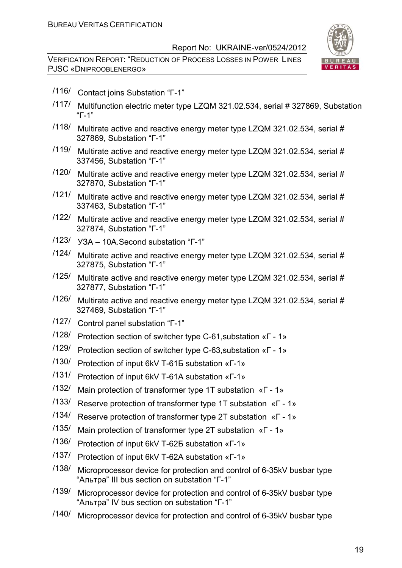

- /116/ Contact joins Substation "Г-1"
- /117/ Multifunction electric meter type LZQМ 321.02.534, serial # 327869, Substation "Г-1"
- /118/ Multirate active and reactive energy meter type LZQМ 321.02.534, serial # 327869, Substation "Г-1"
- /119/ Multirate active and reactive energy meter type LZQМ 321.02.534, serial # 337456, Substation "Г-1"
- /120/ Multirate active and reactive energy meter type LZQМ 321.02.534, serial # 327870, Substation "Г-1"
- /121/ Multirate active and reactive energy meter type LZQM 321.02.534, serial # 337463, Substation "Г-1"
- /122/ Multirate active and reactive energy meter type LZQМ 321.02.534, serial # 327874, Substation "Г-1"
- /123/ УЗА 10А.Second substation "Г-1"
- /124/ Multirate active and reactive energy meter type LZQМ 321.02.534, serial # 327875, Substation "Г-1"
- /125/ Multirate active and reactive energy meter type LZQМ 321.02.534, serial # 327877, Substation "Г-1"
- /126/ Multirate active and reactive energy meter type LZQМ 321.02.534, serial # 327469, Substation "Г-1"
- /127/ Control panel substation "Г-1"
- /128/ Protection section of switcher type C-61,substation «Г 1»
- /129/ Protection section of switcher type C-63,substation «Г 1»
- /130/ Protection of input 6kV Т-61Б substation «Г-1»
- /131/ Protection of input 6kV Т-61A substation «Г-1»
- /132/ Main protection of transformer type 1T substation «Г 1»
- /133/ Reserve protection of transformer type 1T substation «Г 1»
- /134/ Reserve protection of transformer type 2T substation «Г 1»
- /135/ Main protection of transformer type 2T substation «Г 1»
- /136/ Protection of input 6kV Т-62Б substation «Г-1»
- /137/ Protection of input 6kV Т-62A substation «Г-1»
- /138/ Microprocessor device for protection and control of 6-35kV busbar type "Альтра" III bus section on substation "Г-1"
- /139/ Microprocessor device for protection and control of 6-35kV busbar type "Альтра" IV bus section on substation "Г-1"
- /140/ Microprocessor device for protection and control of 6-35kV busbar type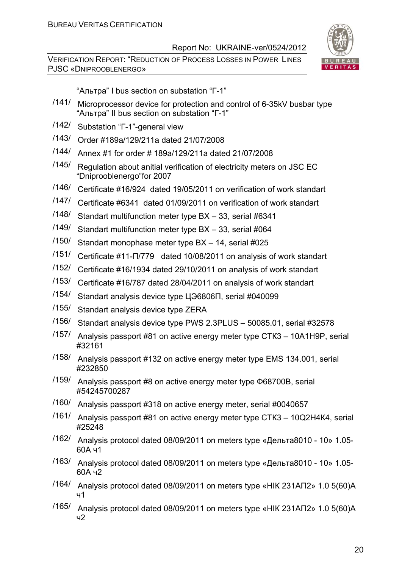VERIFICATION REPORT: "REDUCTION OF PROCESS LOSSES IN POWER LINES PJSC «DNIPROOBLENERGO»



"Альтра" I bus section on substation "Г-1"

- /141/ Microprocessor device for protection and control of 6-35kV busbar type "Альтра" II bus section on substation "Г-1"
- /142/ Substation "Г-1"-general view
- /143/ Order #189a/129/211a dated 21/07/2008
- /144/ Annex #1 for order # 189а/129/211a dated 21/07/2008
- /145/ Regulation about anitial verification of electricity meters on JSC EC "Dniprooblenergo"for 2007
- /146/ Certificate #16/924 dated 19/05/2011 on verification of work standart
- /147/ Certificate #6341 dated 01/09/2011 on verification of work standart
- /148/ Standart multifunction meter type ВХ 33, serial #6341
- /149/ Standart multifunction meter type ВХ 33, serial #064
- /150/ Standart monophase meter type ВХ 14, serial #025
- /151/ Certificate #11-П/779 dated 10/08/2011 on analysis of work standart
- /152/ Certificate #16/1934 dated 29/10/2011 on analysis of work standart
- /153/ Certificate #16/787 dated 28/04/2011 on analysis of work standart
- /154/ Standart analysis device type ЦЭ6806П, serial #040099
- /155/ Standart analysis device type ZERA
- /156/ Standart analysis device type PWS 2.3PLUS 50085.01, serial #32578
- /157/ Analysis passport #81 on active energy meter type СТК3 10А1Н9Р, serial #32161
- /158/ Analysis passport #132 on active energy meter type EMS 134.001, serial #232850
- /159/ Analysis passport #8 on active energy meter type Ф68700В, serial #54245700287
- /160/ Analysis passport #318 on active energy meter, serial #0040657
- /161/ Analysis passport #81 on active energy meter type СТК3 10Q2Н4К4, serial #25248
- /162/ Analysis protocol dated 08/09/2011 on meters type «Дельта8010 10» 1.05- 60А ч1
- /163/ Analysis protocol dated 08/09/2011 on meters type «Дельта8010 10» 1.05- 60А ч2
- /164/ Analysis protocol dated 08/09/2011 on meters type «НІК 231АП2» 1.0 5(60)А ч1
- /165/ Analysis protocol dated 08/09/2011 on meters type «НІК 231АП2» 1.0 5(60)А ч2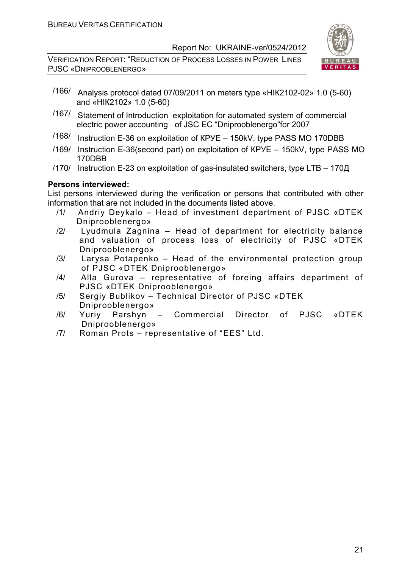VERIFICATION REPORT: "REDUCTION OF PROCESS LOSSES IN POWER LINES PJSC «DNIPROOBLENERGO»



- /166/ Analysis protocol dated 07/09/2011 on meters type «НІК2102-02» 1.0 (5-60) and «НІК2102» 1.0 (5-60)
- /167/ Statement of Introduction exploitation for automated system of commercial electric power accounting of JSC EC "Dniprooblenergo"for 2007
- /168/ Instruction E-36 on exploitation of КРУЕ 150kV, type РАSS МО 170DВВ
- /169/ Instruction E-36(second part) on exploitation of КРУЕ 150kV, type РАSS МО 170DВВ
- /170/ Instruction E-23 on exploitation of gas-insulated switchers, type LТВ 170Д

#### **Persons interviewed:**

List persons interviewed during the verification or persons that contributed with other information that are not included in the documents listed above.

- /1/ Andriy Deykalo Head of investment department of PJSC «DTEK Dniprooblenergo»
- /2/ Lyudmula Zagnina Head of department for electricity balance and valuation of process loss of electricity of PJSC «DTEK Dniprooblenergo»
- /3/ Larysa Potapenko Head of the environmental protection group of PJSC «DTEK Dniprooblenergo»
- /4/ Alla Gurova representative of foreing affairs department of PJSC «DTEK Dniprooblenergo»
- /5/ Sergiy Bublikov Technical Director of PJSC «DTEK Dniprooblenergo»
- /6/ Yuriy Parshyn Commercial Director of PJSC «DTEK Dniprooblenergo»
- /7/ Roman Prots representative of "ЕЕS" Ltd.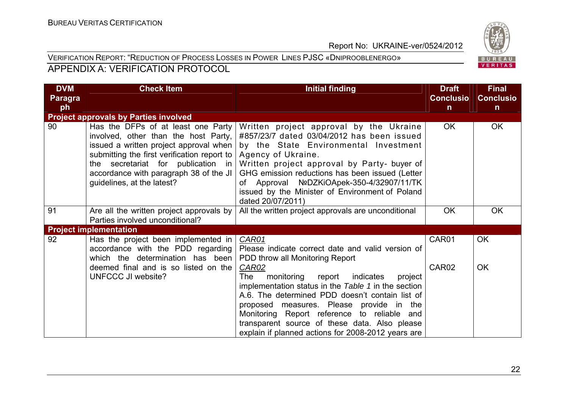#### VERIFICATION REPORT: "REDUCTION OF PROCESS LOSSES IN POWER LINES PJSC «DNIPROOBLENERGO» APPENDIX A: VERIFICATION PROTOCOL

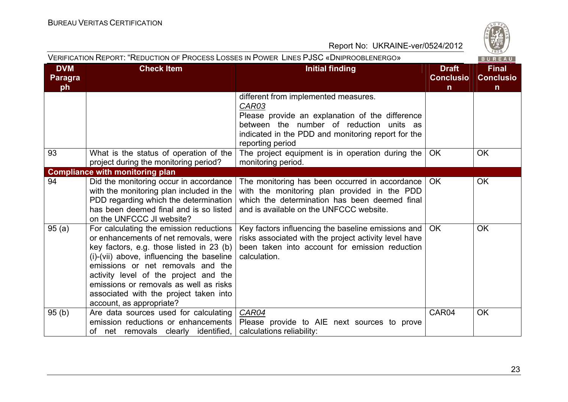

|                             | VERIFICATION REPORT: "REDUCTION OF PROCESS LOSSES IN POWER LINES PJSC «DNIPROOBLENERGO»                                                                                                                                                                                                                                                                                 |                                                                                                                                                                                                                           |                                                  | BUREAU                                           |
|-----------------------------|-------------------------------------------------------------------------------------------------------------------------------------------------------------------------------------------------------------------------------------------------------------------------------------------------------------------------------------------------------------------------|---------------------------------------------------------------------------------------------------------------------------------------------------------------------------------------------------------------------------|--------------------------------------------------|--------------------------------------------------|
| <b>DVM</b><br>Paragra<br>ph | <b>Check Item</b>                                                                                                                                                                                                                                                                                                                                                       | <b>Initial finding</b>                                                                                                                                                                                                    | <b>Draft</b><br><b>Conclusio</b><br>$\mathsf{n}$ | <b>Final</b><br><b>Conclusio</b><br>$\mathsf{n}$ |
|                             |                                                                                                                                                                                                                                                                                                                                                                         | different from implemented measures.<br>CAR03<br>Please provide an explanation of the difference<br>between the number of reduction<br>units as<br>indicated in the PDD and monitoring report for the<br>reporting period |                                                  |                                                  |
| 93                          | What is the status of operation of the<br>project during the monitoring period?                                                                                                                                                                                                                                                                                         | The project equipment is in operation during the<br>monitoring period.                                                                                                                                                    | <b>OK</b>                                        | <b>OK</b>                                        |
|                             | <b>Compliance with monitoring plan</b>                                                                                                                                                                                                                                                                                                                                  |                                                                                                                                                                                                                           |                                                  |                                                  |
| 94                          | Did the monitoring occur in accordance<br>with the monitoring plan included in the<br>PDD regarding which the determination<br>has been deemed final and is so listed<br>on the UNFCCC JI website?                                                                                                                                                                      | The monitoring has been occurred in accordance<br>with the monitoring plan provided in the PDD<br>which the determination has been deemed final<br>and is available on the UNFCCC website.                                | OK.                                              | <b>OK</b>                                        |
| 95(a)                       | For calculating the emission reductions<br>or enhancements of net removals, were<br>key factors, e.g. those listed in 23 (b)<br>(i)-(vii) above, influencing the baseline<br>emissions or net removals and the<br>activity level of the project and the<br>emissions or removals as well as risks<br>associated with the project taken into<br>account, as appropriate? | Key factors influencing the baseline emissions and<br>risks associated with the project activity level have<br>been taken into account for emission reduction<br>calculation.                                             | <b>OK</b>                                        | <b>OK</b>                                        |
| 95(b)                       | Are data sources used for calculating<br>emission reductions or enhancements<br>of net removals clearly identified,                                                                                                                                                                                                                                                     | CAR04<br>Please provide to AIE next sources to prove<br>calculations reliability:                                                                                                                                         | CAR04                                            | <b>OK</b>                                        |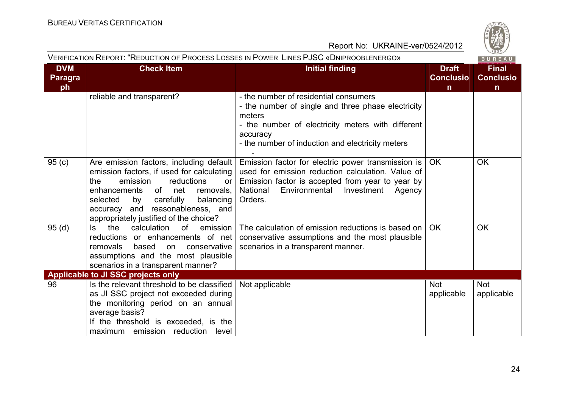

|                                    | VERIFICATION REPORT: "REDUCTION OF PROCESS LOSSES IN POWER LINES PJSC «DNIPROOBLENERGO»                                                                                                                                                                                                   |                                                                                                                                                                                                                             |                                                  |                                                  |
|------------------------------------|-------------------------------------------------------------------------------------------------------------------------------------------------------------------------------------------------------------------------------------------------------------------------------------------|-----------------------------------------------------------------------------------------------------------------------------------------------------------------------------------------------------------------------------|--------------------------------------------------|--------------------------------------------------|
| <b>DVM</b><br><b>Paragra</b><br>ph | <b>Check Item</b>                                                                                                                                                                                                                                                                         | <b>Initial finding</b>                                                                                                                                                                                                      | <b>Draft</b><br><b>Conclusio</b><br>$\mathsf{n}$ | <b>Final</b><br><b>Conclusio</b><br>$\mathsf{n}$ |
|                                    | reliable and transparent?                                                                                                                                                                                                                                                                 | - the number of residential consumers<br>- the number of single and three phase electricity<br>meters<br>- the number of electricity meters with different<br>accuracy<br>- the number of induction and electricity meters  |                                                  |                                                  |
| 95(c)                              | Are emission factors, including default<br>emission factors, if used for calculating<br>emission<br>reductions<br>the<br>or<br>of net<br>enhancements<br>removals,<br>selected<br>by carefully<br>balancing<br>accuracy and reasonableness, and<br>appropriately justified of the choice? | Emission factor for electric power transmission is<br>used for emission reduction calculation. Value of<br>Emission factor is accepted from year to year by<br>National<br>Environmental<br>Investment<br>Agency<br>Orders. | OK.                                              | <b>OK</b>                                        |
| 95(d)                              | the<br>calculation<br><sub>of</sub><br>ls.<br>emission<br>reductions or enhancements of net<br>based<br>removals<br>on<br>conservative<br>assumptions and the most plausible<br>scenarios in a transparent manner?                                                                        | The calculation of emission reductions is based on<br>conservative assumptions and the most plausible<br>scenarios in a transparent manner.                                                                                 | <b>OK</b>                                        | <b>OK</b>                                        |
|                                    | Applicable to JI SSC projects only                                                                                                                                                                                                                                                        |                                                                                                                                                                                                                             |                                                  |                                                  |
| 96                                 | Is the relevant threshold to be classified<br>as JI SSC project not exceeded during<br>the monitoring period on an annual<br>average basis?<br>If the threshold is exceeded, is the<br>maximum emission reduction level                                                                   | Not applicable                                                                                                                                                                                                              | <b>Not</b><br>applicable                         | <b>Not</b><br>applicable                         |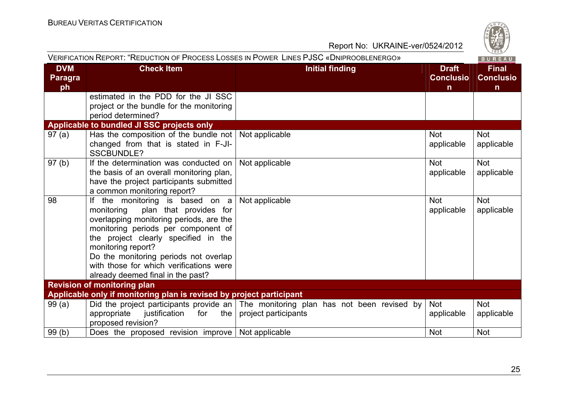|                                    |                                                                                                                                                                                                                                                                                                                                                      | VERIFICATION REPORT: "REDUCTION OF PROCESS LOSSES IN POWER LINES PJSC «DNIPROOBLENERGO»                             |                                                  | BUREAU                                           |
|------------------------------------|------------------------------------------------------------------------------------------------------------------------------------------------------------------------------------------------------------------------------------------------------------------------------------------------------------------------------------------------------|---------------------------------------------------------------------------------------------------------------------|--------------------------------------------------|--------------------------------------------------|
| <b>DVM</b><br><b>Paragra</b><br>ph | <b>Check Item</b>                                                                                                                                                                                                                                                                                                                                    | <b>Initial finding</b>                                                                                              | <b>Draft</b><br><b>Conclusio</b><br>$\mathsf{n}$ | <b>Final</b><br><b>Conclusio</b><br>$\mathsf{n}$ |
|                                    | estimated in the PDD for the JI SSC<br>project or the bundle for the monitoring<br>period determined?                                                                                                                                                                                                                                                |                                                                                                                     |                                                  |                                                  |
|                                    | Applicable to bundled JI SSC projects only                                                                                                                                                                                                                                                                                                           |                                                                                                                     |                                                  |                                                  |
| 97(a)                              | Has the composition of the bundle not $\vert$ Not applicable<br>changed from that is stated in F-JI-<br><b>SSCBUNDLE?</b>                                                                                                                                                                                                                            |                                                                                                                     | <b>Not</b><br>applicable                         | <b>Not</b><br>applicable                         |
| 97 <sub>(b)</sub>                  | If the determination was conducted on   Not applicable<br>the basis of an overall monitoring plan,<br>have the project participants submitted<br>a common monitoring report?                                                                                                                                                                         |                                                                                                                     | <b>Not</b><br>applicable                         | <b>Not</b><br>applicable                         |
| 98                                 | the monitoring is based on a<br>lf.<br>plan that provides for<br>monitoring<br>overlapping monitoring periods, are the<br>monitoring periods per component of<br>the project clearly specified in the<br>monitoring report?<br>Do the monitoring periods not overlap<br>with those for which verifications were<br>already deemed final in the past? | Not applicable                                                                                                      | <b>Not</b><br>applicable                         | <b>Not</b><br>applicable                         |
|                                    | <b>Revision of monitoring plan</b>                                                                                                                                                                                                                                                                                                                   |                                                                                                                     |                                                  |                                                  |
|                                    | Applicable only if monitoring plan is revised by project participant                                                                                                                                                                                                                                                                                 |                                                                                                                     |                                                  |                                                  |
| 99(a)                              | appropriate<br>justification<br>the<br>for<br>proposed revision?                                                                                                                                                                                                                                                                                     | Did the project participants provide an $\vert$ The monitoring plan has not been revised by<br>project participants | <b>Not</b><br>applicable                         | <b>Not</b><br>applicable                         |
| 99(b)                              | Does the proposed revision improve   Not applicable                                                                                                                                                                                                                                                                                                  |                                                                                                                     | <b>Not</b>                                       | <b>Not</b>                                       |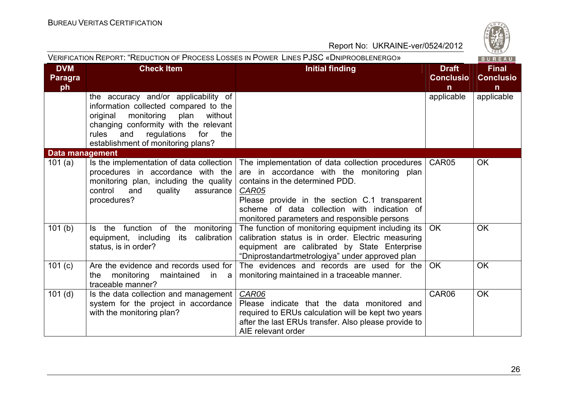

|                                    | VERIFICATION REPORT: "REDUCTION OF PROCESS LOSSES IN POWER LINES PJSC «DNIPROOBLENERGO»<br><b>BUREAU</b>                                                                                                                                               |                                                                                                                                                                                                                                                                                             |                                                  |                                                  |
|------------------------------------|--------------------------------------------------------------------------------------------------------------------------------------------------------------------------------------------------------------------------------------------------------|---------------------------------------------------------------------------------------------------------------------------------------------------------------------------------------------------------------------------------------------------------------------------------------------|--------------------------------------------------|--------------------------------------------------|
| <b>DVM</b><br><b>Paragra</b><br>ph | <b>Check Item</b>                                                                                                                                                                                                                                      | <b>Initial finding</b>                                                                                                                                                                                                                                                                      | <b>Draft</b><br><b>Conclusio</b><br>$\mathsf{n}$ | <b>Final</b><br><b>Conclusio</b><br>$\mathsf{n}$ |
|                                    | the accuracy and/or applicability of<br>information collected compared to the<br>monitoring<br>plan<br>original<br>without<br>changing conformity with the relevant<br>rules<br>and<br>regulations<br>for<br>the<br>establishment of monitoring plans? |                                                                                                                                                                                                                                                                                             | applicable                                       | applicable                                       |
| <b>Data management</b>             |                                                                                                                                                                                                                                                        |                                                                                                                                                                                                                                                                                             |                                                  |                                                  |
| 101(a)                             | Is the implementation of data collection<br>procedures in accordance with the<br>monitoring plan, including the quality<br>control<br>and<br>quality<br>assurance<br>procedures?                                                                       | The implementation of data collection procedures<br>are in accordance with the monitoring plan<br>contains in the determined PDD.<br>CAR05<br>Please provide in the section C.1 transparent<br>scheme of data collection with indication of<br>monitored parameters and responsible persons | CAR05                                            | <b>OK</b>                                        |
| 101(b)                             | Is the function of the<br>monitoring<br>equipment, including<br>calibration<br>its<br>status, is in order?                                                                                                                                             | The function of monitoring equipment including its<br>calibration status is in order. Electric measuring<br>equipment are calibrated by State Enterprise<br>"Dniprostandartmetrologiya" under approved plan                                                                                 | OK                                               | <b>OK</b>                                        |
| 101(c)                             | Are the evidence and records used for<br>monitoring<br>the<br>maintained<br>in a<br>traceable manner?                                                                                                                                                  | The evidences and records are used for the<br>monitoring maintained in a traceable manner.                                                                                                                                                                                                  | <b>OK</b>                                        | <b>OK</b>                                        |
| 101(d)                             | Is the data collection and management<br>system for the project in accordance<br>with the monitoring plan?                                                                                                                                             | <b>CAR06</b><br>Please indicate that the data monitored and<br>required to ERUs calculation will be kept two years<br>after the last ERUs transfer. Also please provide to<br>AIE relevant order                                                                                            | CAR06                                            | <b>OK</b>                                        |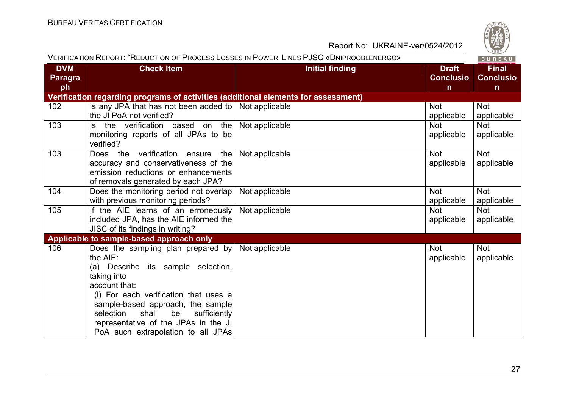

|                                    |                                                                                                                                                                                                                                                                                                                              | VERIFICATION REPORT: "REDUCTION OF PROCESS LOSSES IN POWER LINES PJSC «DNIPROOBLENERGO» |                                                  | BUREAU                                |
|------------------------------------|------------------------------------------------------------------------------------------------------------------------------------------------------------------------------------------------------------------------------------------------------------------------------------------------------------------------------|-----------------------------------------------------------------------------------------|--------------------------------------------------|---------------------------------------|
| <b>DVM</b><br><b>Paragra</b><br>ph | <b>Check Item</b>                                                                                                                                                                                                                                                                                                            | <b>Initial finding</b>                                                                  | <b>Draft</b><br><b>Conclusio</b><br>$\mathsf{n}$ | <b>Final</b><br><b>Conclusio</b><br>n |
|                                    | Verification regarding programs of activities (additional elements for assessment)                                                                                                                                                                                                                                           |                                                                                         |                                                  |                                       |
| 102                                | Is any JPA that has not been added to   Not applicable<br>the JI PoA not verified?                                                                                                                                                                                                                                           |                                                                                         | <b>Not</b><br>applicable                         | <b>Not</b><br>applicable              |
| 103                                | Is the verification based on the Not applicable<br>monitoring reports of all JPAs to be<br>verified?                                                                                                                                                                                                                         |                                                                                         | <b>Not</b><br>applicable                         | <b>Not</b><br>applicable              |
| 103                                | Does the verification ensure<br>the<br>accuracy and conservativeness of the<br>emission reductions or enhancements<br>of removals generated by each JPA?                                                                                                                                                                     | Not applicable                                                                          | <b>Not</b><br>applicable                         | <b>Not</b><br>applicable              |
| 104                                | Does the monitoring period not overlap<br>with previous monitoring periods?                                                                                                                                                                                                                                                  | Not applicable                                                                          | <b>Not</b><br>applicable                         | <b>Not</b><br>applicable              |
| 105                                | If the AIE learns of an erroneously<br>included JPA, has the AIE informed the<br>JISC of its findings in writing?                                                                                                                                                                                                            | Not applicable                                                                          | <b>Not</b><br>applicable                         | <b>Not</b><br>applicable              |
|                                    | Applicable to sample-based approach only                                                                                                                                                                                                                                                                                     |                                                                                         |                                                  |                                       |
| 106                                | Does the sampling plan prepared by<br>the AIE:<br>(a) Describe its sample selection,<br>taking into<br>account that:<br>(i) For each verification that uses a<br>sample-based approach, the sample<br>selection<br>shall<br>be<br>sufficiently<br>representative of the JPAs in the JI<br>PoA such extrapolation to all JPAs | Not applicable                                                                          | <b>Not</b><br>applicable                         | Not<br>applicable                     |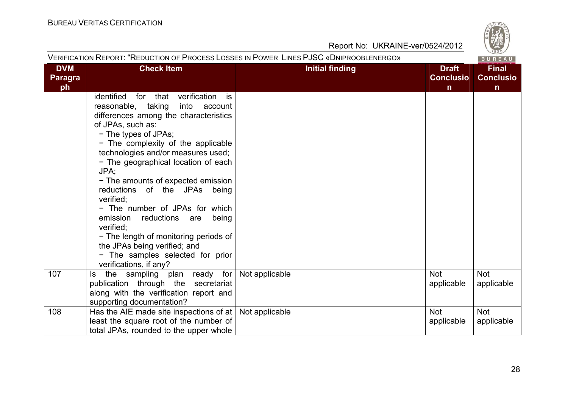

| <b>DVM</b>     | <b>Check Item</b>                           | <b>Initial finding</b> | <b>Draft</b>     | <b>Final</b>     |
|----------------|---------------------------------------------|------------------------|------------------|------------------|
| <b>Paragra</b> |                                             |                        | <b>Conclusio</b> | <b>Conclusio</b> |
| ph             |                                             |                        | n                | $\mathsf{n}$     |
|                | identified for that verification is         |                        |                  |                  |
|                | reasonable, taking<br>into account          |                        |                  |                  |
|                | differences among the characteristics       |                        |                  |                  |
|                | of JPAs, such as:                           |                        |                  |                  |
|                | - The types of JPAs;                        |                        |                  |                  |
|                | - The complexity of the applicable          |                        |                  |                  |
|                | technologies and/or measures used;          |                        |                  |                  |
|                | - The geographical location of each<br>JPA; |                        |                  |                  |
|                | - The amounts of expected emission          |                        |                  |                  |
|                | reductions of the JPAs being                |                        |                  |                  |
|                | verified:                                   |                        |                  |                  |
|                | - The number of JPAs for which              |                        |                  |                  |
|                | emission<br>reductions are<br>being         |                        |                  |                  |
|                | verified:                                   |                        |                  |                  |
|                | - The length of monitoring periods of       |                        |                  |                  |
|                | the JPAs being verified; and                |                        |                  |                  |
|                | - The samples selected for prior            |                        |                  |                  |
|                | verifications, if any?                      |                        |                  |                  |
| 107            | Is the sampling plan ready for              | Not applicable         | <b>Not</b>       | <b>Not</b>       |
|                | publication through the secretariat         |                        | applicable       | applicable       |
|                | along with the verification report and      |                        |                  |                  |
|                | supporting documentation?                   |                        |                  |                  |
| 108            | Has the AIE made site inspections of at     | Not applicable         | <b>Not</b>       | <b>Not</b>       |
|                | least the square root of the number of      |                        | applicable       | applicable       |
|                | total JPAs, rounded to the upper whole      |                        |                  |                  |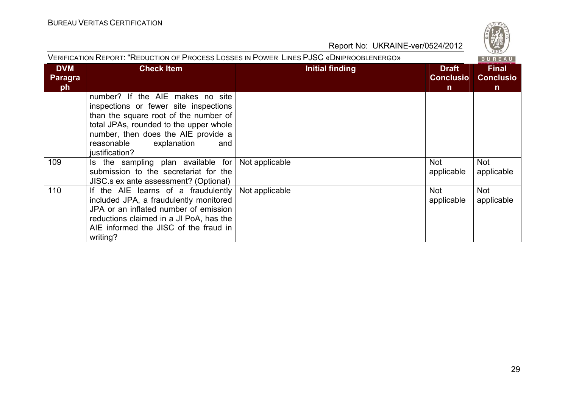

| VERIFICATION REPORT: "REDUCTION OF PROCESS LOSSES IN POWER LINES PJSC «DNIPROOBLENERGO»<br>BUREAU |                                                                                                                                                                                                                                                           |                 |                                                  |                                |  |
|---------------------------------------------------------------------------------------------------|-----------------------------------------------------------------------------------------------------------------------------------------------------------------------------------------------------------------------------------------------------------|-----------------|--------------------------------------------------|--------------------------------|--|
| <b>DVM</b><br><b>Paragra</b><br>ph                                                                | <b>Check Item</b>                                                                                                                                                                                                                                         | Initial finding | <b>Draft</b><br><b>Conclusio</b><br>$\mathsf{n}$ | Final<br><b>Conclusio</b><br>n |  |
|                                                                                                   | number? If the AIE makes no site<br>inspections or fewer site inspections<br>than the square root of the number of<br>total JPAs, rounded to the upper whole<br>number, then does the AIE provide a<br>reasonable<br>explanation<br>and<br>justification? |                 |                                                  |                                |  |
| 109                                                                                               | Is the sampling plan available for<br>submission to the secretariat for the<br>JISC s ex ante assessment? (Optional)                                                                                                                                      | Not applicable  | <b>Not</b><br>applicable                         | <b>Not</b><br>applicable       |  |
| 110                                                                                               | If the AIE learns of a fraudulently<br>included JPA, a fraudulently monitored<br>JPA or an inflated number of emission<br>reductions claimed in a JI PoA, has the<br>AIE informed the JISC of the fraud in<br>writing?                                    | Not applicable  | <b>Not</b><br>applicable                         | <b>Not</b><br>applicable       |  |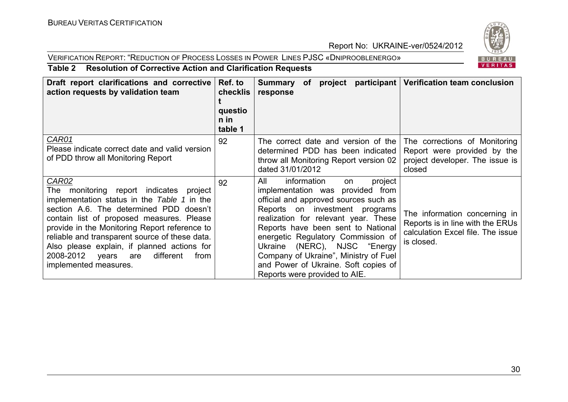#### VERIFICATION REPORT: "REDUCTION OF PROCESS LOSSES IN POWER LINES PJSC «DNIPROOBLENERGO»



#### **Table 2 Resolution of Corrective Action and Clarification Requests**

| Draft report clarifications and corrective<br>action requests by validation team                                                                                                                                                                                                                                                                                                                                  | Ref. to<br>checklis<br>questio<br>n in<br>table 1 | Summary of project participant Verification team conclusion<br>response                                                                                                                                                                                                                                                                                                                                                  |                                                                                                                      |
|-------------------------------------------------------------------------------------------------------------------------------------------------------------------------------------------------------------------------------------------------------------------------------------------------------------------------------------------------------------------------------------------------------------------|---------------------------------------------------|--------------------------------------------------------------------------------------------------------------------------------------------------------------------------------------------------------------------------------------------------------------------------------------------------------------------------------------------------------------------------------------------------------------------------|----------------------------------------------------------------------------------------------------------------------|
| CAR01<br>Please indicate correct date and valid version<br>of PDD throw all Monitoring Report                                                                                                                                                                                                                                                                                                                     | 92                                                | The correct date and version of the<br>determined PDD has been indicated<br>throw all Monitoring Report version 02<br>dated 31/01/2012                                                                                                                                                                                                                                                                                   | The corrections of Monitoring<br>Report were provided by the<br>project developer. The issue is<br>closed            |
| CAR02<br>monitoring report indicates project<br>The<br>implementation status in the Table 1 in the<br>section A.6. The determined PDD doesn't<br>contain list of proposed measures. Please<br>provide in the Monitoring Report reference to<br>reliable and transparent source of these data.<br>Also please explain, if planned actions for<br>2008-2012 years are<br>different<br>from<br>implemented measures. | 92                                                | All<br>information<br>project<br>on<br>implementation was provided from<br>official and approved sources such as<br>Reports on investment programs<br>realization for relevant year. These<br>Reports have been sent to National<br>energetic Regulatory Commission of<br>Ukraine (NERC), NJSC "Energy<br>Company of Ukraine", Ministry of Fuel<br>and Power of Ukraine. Soft copies of<br>Reports were provided to AIE. | The information concerning in<br>Reports is in line with the ERUs<br>calculation Excel file. The issue<br>is closed. |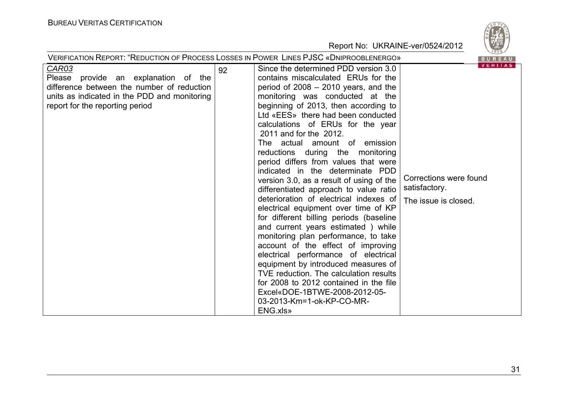|                                                                                                                                                                                       | <b>VERIFICATION REPORT: "REDUCTION OF PROCESS LOSSES IN POWER LINES PJSC «DNIPROOBLENERGO»</b>                                                                                                                                                                                                                                                                                                                                                                                                                                                                                                                                                                                                                                                                                                                                                                                                                                                                                                                                                    | 020/<br>BUREAU                                                                    |
|---------------------------------------------------------------------------------------------------------------------------------------------------------------------------------------|---------------------------------------------------------------------------------------------------------------------------------------------------------------------------------------------------------------------------------------------------------------------------------------------------------------------------------------------------------------------------------------------------------------------------------------------------------------------------------------------------------------------------------------------------------------------------------------------------------------------------------------------------------------------------------------------------------------------------------------------------------------------------------------------------------------------------------------------------------------------------------------------------------------------------------------------------------------------------------------------------------------------------------------------------|-----------------------------------------------------------------------------------|
| <b>CAR03</b><br>Please provide an explanation of the<br>difference between the number of reduction<br>units as indicated in the PDD and monitoring<br>report for the reporting period | Since the determined PDD version 3.0<br>92<br>contains miscalculated ERUs for the<br>period of $2008 - 2010$ years, and the<br>monitoring was conducted at the<br>beginning of 2013, then according to<br>Ltd «EES» there had been conducted<br>calculations of ERUs for the year<br>2011 and for the 2012.<br>The actual amount of emission<br>reductions during the monitoring<br>period differs from values that were<br>indicated in the determinate PDD<br>version 3.0, as a result of using of the<br>differentiated approach to value ratio<br>deterioration of electrical indexes of<br>electrical equipment over time of KP<br>for different billing periods (baseline<br>and current years estimated ) while<br>monitoring plan performance, to take<br>account of the effect of improving<br>electrical performance of electrical<br>equipment by introduced measures of<br>TVE reduction. The calculation results<br>for 2008 to 2012 contained in the file<br>Excel«DOE-1BTWE-2008-2012-05-<br>03-2013-Km=1-ok-KP-CO-MR-<br>ENG.xls» | <b>VERITAS</b><br>Corrections were found<br>satisfactory.<br>The issue is closed. |